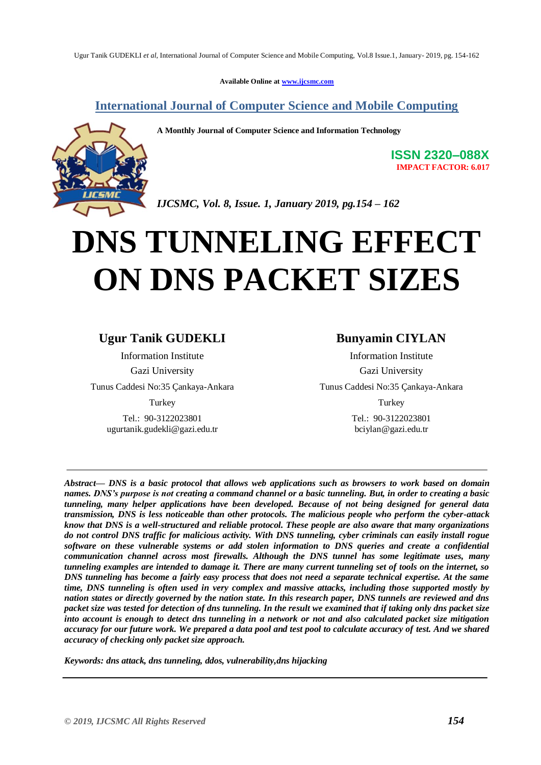**Available Online at [www.ijcsmc.com](http://www.ijcsmc.com/)**

**International Journal of Computer Science and Mobile Computing**



**A Monthly Journal of Computer Science and Information Technology**

**ISSN 2320–088X IMPACT FACTOR: 6.017**

*IJCSMC, Vol. 8, Issue. 1, January 2019, pg.154 – 162*

# **DNS TUNNELING EFFECT ON DNS PACKET SIZES**

## **Ugur Tanik GUDEKLI**

Information Institute Gazi University

Tunus Caddesi No:35 Çankaya-Ankara

Turkey

Tel.: 90-3122023801 [ugurtanik.gudekli@gazi.edu.tr](mailto:ugurtanik.gudekli@gazi.edu.tr)

### **Bunyamin CIYLAN**

Information Institute Gazi University Tunus Caddesi No:35 Çankaya-Ankara Turkey

> Tel.: 90-3122023801 [bciylan@gazi.edu.tr](mailto:bciylan@gazi.edu.tr)

*Abstract— DNS is a basic protocol that allows web applications such as browsers to work based on domain names. DNS's purpose is not creating a command channel or a basic tunneling. But, in order to creating a basic tunneling, many helper applications have been developed. Because of not being designed for general data transmission, DNS is less noticeable than other protocols. The malicious people who perform the cyber-attack know that DNS is a well-structured and reliable protocol. These people are also aware that many organizations do not control DNS traffic for malicious activity. With DNS tunneling, cyber criminals can easily install rogue software on these vulnerable systems or add stolen information to DNS queries and create a confidential communication channel across most firewalls. Although the DNS tunnel has some legitimate uses, many tunneling examples are intended to damage it. There are many current tunneling set of tools on the internet, so DNS tunneling has become a fairly easy process that does not need a separate technical expertise. At the same time, DNS tunneling is often used in very complex and massive attacks, including those supported mostly by nation states or directly governed by the nation state. In this research paper, DNS tunnels are reviewed and dns packet size was tested for detection of dns tunneling. In the result we examined that if taking only dns packet size into account is enough to detect dns tunneling in a network or not and also calculated packet size mitigation accuracy for our future work. We prepared a data pool and test pool to calculate accuracy of test. And we shared accuracy of checking only packet size approach.*

*Keywords: dns attack, dns tunneling, ddos, vulnerability,dns hijacking*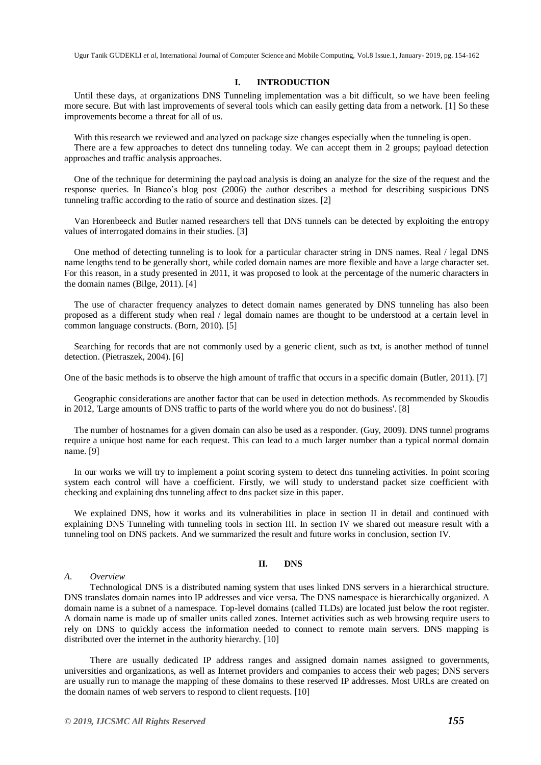#### **I. INTRODUCTION**

Until these days, at organizations DNS Tunneling implementation was a bit difficult, so we have been feeling more secure. But with last improvements of several tools which can easily getting data from a network. [1] So these improvements become a threat for all of us.

With this research we reviewed and analyzed on package size changes especially when the tunneling is open. There are a few approaches to detect dns tunneling today. We can accept them in 2 groups; payload detection approaches and traffic analysis approaches.

One of the technique for determining the payload analysis is doing an analyze for the size of the request and the response queries. In Bianco's blog post (2006) the author describes a method for describing suspicious DNS tunneling traffic according to the ratio of source and destination sizes. [2]

Van Horenbeeck and Butler named researchers tell that DNS tunnels can be detected by exploiting the entropy values of interrogated domains in their studies. [3]

One method of detecting tunneling is to look for a particular character string in DNS names. Real / legal DNS name lengths tend to be generally short, while coded domain names are more flexible and have a large character set. For this reason, in a study presented in 2011, it was proposed to look at the percentage of the numeric characters in the domain names (Bilge, 2011). [4]

The use of character frequency analyzes to detect domain names generated by DNS tunneling has also been proposed as a different study when real / legal domain names are thought to be understood at a certain level in common language constructs. (Born, 2010). [5]

Searching for records that are not commonly used by a generic client, such as txt, is another method of tunnel detection. (Pietraszek, 2004). [6]

One of the basic methods is to observe the high amount of traffic that occurs in a specific domain (Butler, 2011). [7]

Geographic considerations are another factor that can be used in detection methods. As recommended by Skoudis in 2012, 'Large amounts of DNS traffic to parts of the world where you do not do business'. [8]

The number of hostnames for a given domain can also be used as a responder. (Guy, 2009). DNS tunnel programs require a unique host name for each request. This can lead to a much larger number than a typical normal domain name. [9]

In our works we will try to implement a point scoring system to detect dns tunneling activities. In point scoring system each control will have a coefficient. Firstly, we will study to understand packet size coefficient with checking and explaining dns tunneling affect to dns packet size in this paper.

We explained DNS, how it works and its vulnerabilities in place in section II in detail and continued with explaining DNS Tunneling with tunneling tools in section III. In section IV we shared out measure result with a tunneling tool on DNS packets. And we summarized the result and future works in conclusion, section IV.

#### **II. DNS**

#### *A. Overview*

Technological DNS is a distributed naming system that uses linked DNS servers in a hierarchical structure. DNS translates domain names into IP addresses and vice versa. The DNS namespace is hierarchically organized. A domain name is a subnet of a namespace. Top-level domains (called TLDs) are located just below the root register. A domain name is made up of smaller units called zones. Internet activities such as web browsing require users to rely on DNS to quickly access the information needed to connect to remote main servers. DNS mapping is distributed over the internet in the authority hierarchy. [10]

There are usually dedicated IP address ranges and assigned domain names assigned to governments, universities and organizations, as well as Internet providers and companies to access their web pages; DNS servers are usually run to manage the mapping of these domains to these reserved IP addresses. Most URLs are created on the domain names of web servers to respond to client requests. [10]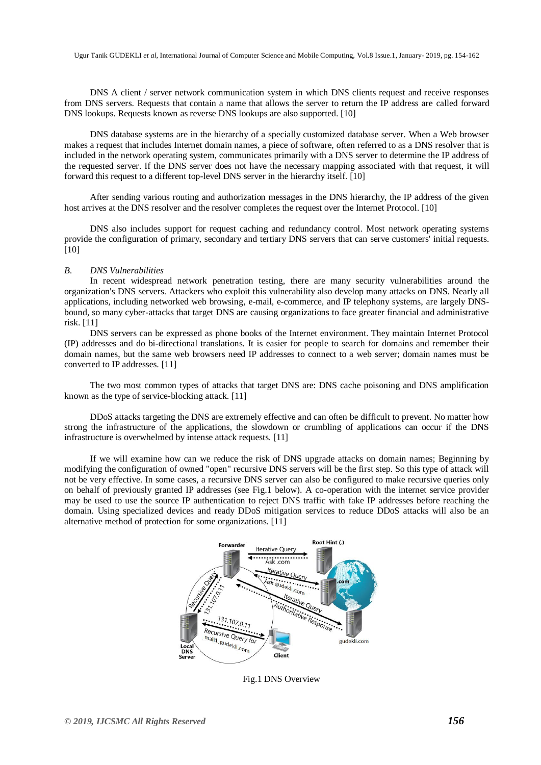DNS A client / server network communication system in which DNS clients request and receive responses from DNS servers. Requests that contain a name that allows the server to return the IP address are called forward DNS lookups. Requests known as reverse DNS lookups are also supported. [10]

DNS database systems are in the hierarchy of a specially customized database server. When a Web browser makes a request that includes Internet domain names, a piece of software, often referred to as a DNS resolver that is included in the network operating system, communicates primarily with a DNS server to determine the IP address of the requested server. If the DNS server does not have the necessary mapping associated with that request, it will forward this request to a different top-level DNS server in the hierarchy itself. [10]

After sending various routing and authorization messages in the DNS hierarchy, the IP address of the given host arrives at the DNS resolver and the resolver completes the request over the Internet Protocol. [10]

DNS also includes support for request caching and redundancy control. Most network operating systems provide the configuration of primary, secondary and tertiary DNS servers that can serve customers' initial requests. [10]

#### *B. DNS Vulnerabilities*

In recent widespread network penetration testing, there are many security vulnerabilities around the organization's DNS servers. Attackers who exploit this vulnerability also develop many attacks on DNS. Nearly all applications, including networked web browsing, e-mail, e-commerce, and IP telephony systems, are largely DNSbound, so many cyber-attacks that target DNS are causing organizations to face greater financial and administrative risk. [11]

DNS servers can be expressed as phone books of the Internet environment. They maintain Internet Protocol (IP) addresses and do bi-directional translations. It is easier for people to search for domains and remember their domain names, but the same web browsers need IP addresses to connect to a web server; domain names must be converted to IP addresses. [11]

The two most common types of attacks that target DNS are: DNS cache poisoning and DNS amplification known as the type of service-blocking attack. [11]

DDoS attacks targeting the DNS are extremely effective and can often be difficult to prevent. No matter how strong the infrastructure of the applications, the slowdown or crumbling of applications can occur if the DNS infrastructure is overwhelmed by intense attack requests. [11]

If we will examine how can we reduce the risk of DNS upgrade attacks on domain names; Beginning by modifying the configuration of owned "open" recursive DNS servers will be the first step. So this type of attack will not be very effective. In some cases, a recursive DNS server can also be configured to make recursive queries only on behalf of previously granted IP addresses (see Fig.1 below). A co-operation with the internet service provider may be used to use the source IP authentication to reject DNS traffic with fake IP addresses before reaching the domain. Using specialized devices and ready DDoS mitigation services to reduce DDoS attacks will also be an alternative method of protection for some organizations. [11]



Fig.1 DNS Overview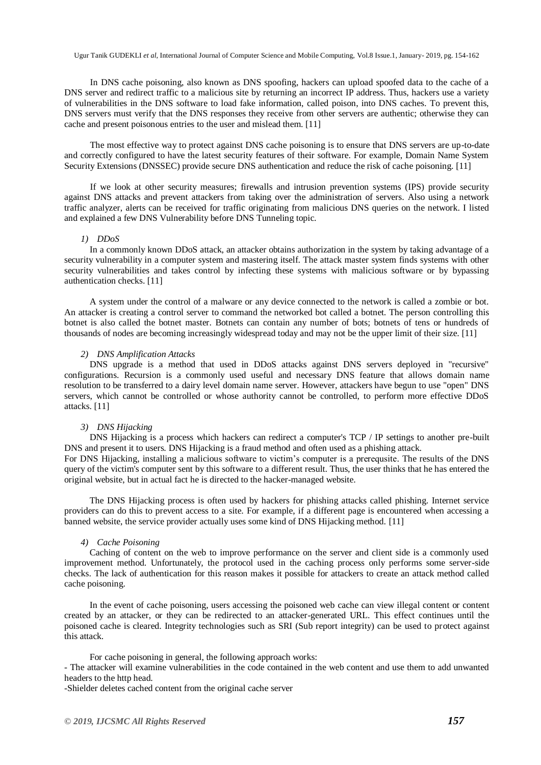In DNS cache poisoning, also known as DNS spoofing, hackers can upload spoofed data to the cache of a DNS server and redirect traffic to a malicious site by returning an incorrect IP address. Thus, hackers use a variety of vulnerabilities in the DNS software to load fake information, called poison, into DNS caches. To prevent this, DNS servers must verify that the DNS responses they receive from other servers are authentic; otherwise they can cache and present poisonous entries to the user and mislead them. [11]

The most effective way to protect against DNS cache poisoning is to ensure that DNS servers are up-to-date and correctly configured to have the latest security features of their software. For example, Domain Name System Security Extensions (DNSSEC) provide secure DNS authentication and reduce the risk of cache poisoning. [11]

If we look at other security measures; firewalls and intrusion prevention systems (IPS) provide security against DNS attacks and prevent attackers from taking over the administration of servers. Also using a network traffic analyzer, alerts can be received for traffic originating from malicious DNS queries on the network. I listed and explained a few DNS Vulnerability before DNS Tunneling topic.

#### *1) DDoS*

In a commonly known DDoS attack, an attacker obtains authorization in the system by taking advantage of a security vulnerability in a computer system and mastering itself. The attack master system finds systems with other security vulnerabilities and takes control by infecting these systems with malicious software or by bypassing authentication checks. [11]

A system under the control of a malware or any device connected to the network is called a zombie or bot. An attacker is creating a control server to command the networked bot called a botnet. The person controlling this botnet is also called the botnet master. Botnets can contain any number of bots; botnets of tens or hundreds of thousands of nodes are becoming increasingly widespread today and may not be the upper limit of their size. [11]

#### *2) DNS Amplification Attacks*

DNS upgrade is a method that used in DDoS attacks against DNS servers deployed in "recursive" configurations. Recursion is a commonly used useful and necessary DNS feature that allows domain name resolution to be transferred to a dairy level domain name server. However, attackers have begun to use "open" DNS servers, which cannot be controlled or whose authority cannot be controlled, to perform more effective DDoS attacks. [11]

#### *3) DNS Hijacking*

DNS Hijacking is a process which hackers can redirect a computer's TCP / IP settings to another pre-built DNS and present it to users. DNS Hijacking is a fraud method and often used as a phishing attack.

For DNS Hijacking, installing a malicious software to victim's computer is a prerequsite. The results of the DNS query of the victim's computer sent by this software to a different result. Thus, the user thinks that he has entered the original website, but in actual fact he is directed to the hacker-managed website.

The DNS Hijacking process is often used by hackers for phishing attacks called phishing. Internet service providers can do this to prevent access to a site. For example, if a different page is encountered when accessing a banned website, the service provider actually uses some kind of DNS Hijacking method. [11]

#### *4) Cache Poisoning*

Caching of content on the web to improve performance on the server and client side is a commonly used improvement method. Unfortunately, the protocol used in the caching process only performs some server-side checks. The lack of authentication for this reason makes it possible for attackers to create an attack method called cache poisoning.

In the event of cache poisoning, users accessing the poisoned web cache can view illegal content or content created by an attacker, or they can be redirected to an attacker-generated URL. This effect continues until the poisoned cache is cleared. Integrity technologies such as SRI (Sub report integrity) can be used to protect against this attack.

For cache poisoning in general, the following approach works:

- The attacker will examine vulnerabilities in the code contained in the web content and use them to add unwanted headers to the http head.

-Shielder deletes cached content from the original cache server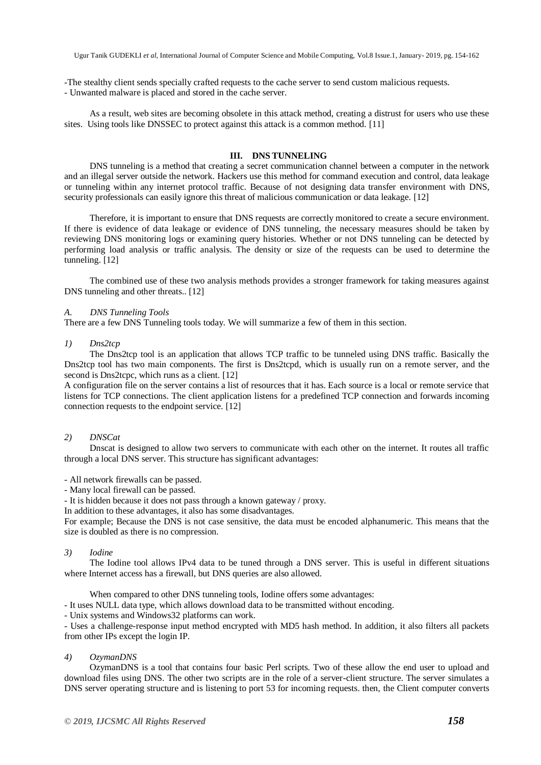-The stealthy client sends specially crafted requests to the cache server to send custom malicious requests.

- Unwanted malware is placed and stored in the cache server.

As a result, web sites are becoming obsolete in this attack method, creating a distrust for users who use these sites. Using tools like DNSSEC to protect against this attack is a common method. [11]

#### **III. DNS TUNNELING**

DNS tunneling is a method that creating a secret communication channel between a computer in the network and an illegal server outside the network. Hackers use this method for command execution and control, data leakage or tunneling within any internet protocol traffic. Because of not designing data transfer environment with DNS, security professionals can easily ignore this threat of malicious communication or data leakage. [12]

Therefore, it is important to ensure that DNS requests are correctly monitored to create a secure environment. If there is evidence of data leakage or evidence of DNS tunneling, the necessary measures should be taken by reviewing DNS monitoring logs or examining query histories. Whether or not DNS tunneling can be detected by performing load analysis or traffic analysis. The density or size of the requests can be used to determine the tunneling. [12]

The combined use of these two analysis methods provides a stronger framework for taking measures against DNS tunneling and other threats.. [12]

#### *A. DNS Tunneling Tools*

There are a few DNS Tunneling tools today. We will summarize a few of them in this section.

#### *1) Dns2tcp*

The Dns2tcp tool is an application that allows TCP traffic to be tunneled using DNS traffic. Basically the Dns2tcp tool has two main components. The first is Dns2tcpd, which is usually run on a remote server, and the second is Dns2tcpc, which runs as a client. [12]

A configuration file on the server contains a list of resources that it has. Each source is a local or remote service that listens for TCP connections. The client application listens for a predefined TCP connection and forwards incoming connection requests to the endpoint service. [12]

#### *2) DNSCat*

Dnscat is designed to allow two servers to communicate with each other on the internet. It routes all traffic through a local DNS server. This structure has significant advantages:

- All network firewalls can be passed.

- Many local firewall can be passed.

- It is hidden because it does not pass through a known gateway / proxy.

In addition to these advantages, it also has some disadvantages.

For example; Because the DNS is not case sensitive, the data must be encoded alphanumeric. This means that the size is doubled as there is no compression.

#### *3) Iodine*

The Iodine tool allows IPv4 data to be tuned through a DNS server. This is useful in different situations where Internet access has a firewall, but DNS queries are also allowed.

When compared to other DNS tunneling tools, Iodine offers some advantages:

- It uses NULL data type, which allows download data to be transmitted without encoding.

- Unix systems and Windows32 platforms can work.

- Uses a challenge-response input method encrypted with MD5 hash method. In addition, it also filters all packets from other IPs except the login IP.

#### *4) OzymanDNS*

OzymanDNS is a tool that contains four basic Perl scripts. Two of these allow the end user to upload and download files using DNS. The other two scripts are in the role of a server-client structure. The server simulates a DNS server operating structure and is listening to port 53 for incoming requests. then, the Client computer converts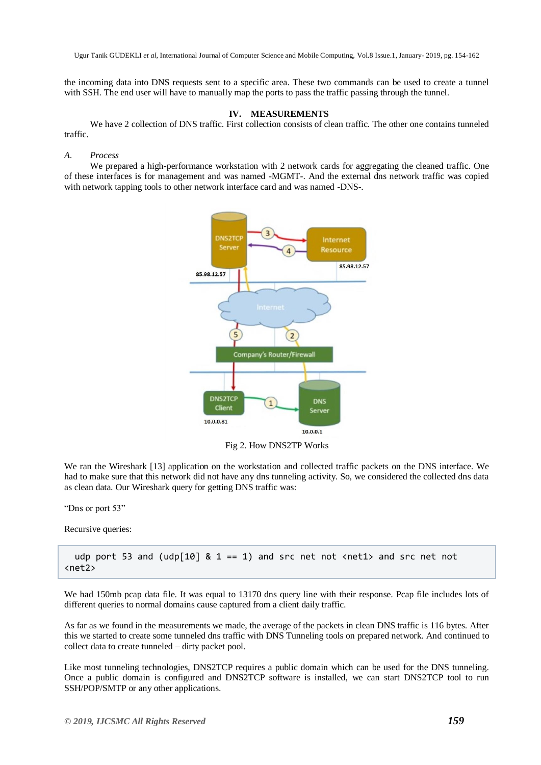the incoming data into DNS requests sent to a specific area. These two commands can be used to create a tunnel with SSH. The end user will have to manually map the ports to pass the traffic passing through the tunnel.

#### **IV. MEASUREMENTS**

We have 2 collection of DNS traffic. First collection consists of clean traffic. The other one contains tunneled traffic.

#### *A. Process*

We prepared a high-performance workstation with 2 network cards for aggregating the cleaned traffic. One of these interfaces is for management and was named -MGMT-. And the external dns network traffic was copied with network tapping tools to other network interface card and was named -DNS-.



We ran the Wireshark [13] application on the workstation and collected traffic packets on the DNS interface. We had to make sure that this network did not have any dns tunneling activity. So, we considered the collected dns data as clean data. Our Wireshark query for getting DNS traffic was:

"Dns or port 53"

Recursive queries:

udp port 53 and (udp[10]  $\&$  1 == 1) and src net not <net1> and src net not <net2>

We had 150mb pcap data file. It was equal to 13170 dns query line with their response. Pcap file includes lots of different queries to normal domains cause captured from a client daily traffic.

As far as we found in the measurements we made, the average of the packets in clean DNS traffic is 116 bytes. After this we started to create some tunneled dns traffic with DNS Tunneling tools on prepared network. And continued to collect data to create tunneled – dirty packet pool.

Like most tunneling technologies, DNS2TCP requires a public domain which can be used for the DNS tunneling. Once a public domain is configured and DNS2TCP software is installed, we can start DNS2TCP tool to run SSH/POP/SMTP or any other applications.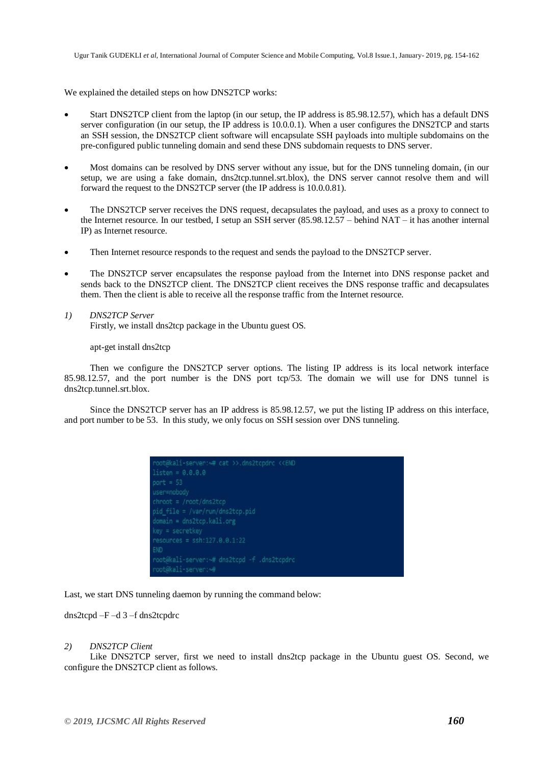We explained the detailed steps on how DNS2TCP works:

- Start DNS2TCP client from the laptop (in our setup, the IP address is 85.98.12.57), which has a default DNS server configuration (in our setup, the IP address is 10.0.0.1). When a user configures the DNS2TCP and starts an SSH session, the DNS2TCP client software will encapsulate SSH payloads into multiple subdomains on the pre-configured public tunneling domain and send these DNS subdomain requests to DNS server.
- Most domains can be resolved by DNS server without any issue, but for the DNS tunneling domain, (in our setup, we are using a fake domain, dns2tcp.tunnel.srt.blox), the DNS server cannot resolve them and will forward the request to the DNS2TCP server (the IP address is 10.0.0.81).
- The DNS2TCP server receives the DNS request, decapsulates the payload, and uses as a proxy to connect to the Internet resource. In our testbed, I setup an SSH server (85.98.12.57 – behind NAT – it has another internal IP) as Internet resource.
- Then Internet resource responds to the request and sends the payload to the DNS2TCP server.
- The DNS2TCP server encapsulates the response payload from the Internet into DNS response packet and sends back to the DNS2TCP client. The DNS2TCP client receives the DNS response traffic and decapsulates them. Then the client is able to receive all the response traffic from the Internet resource.

# *1) DNS2TCP Server*

Firstly, we install dns2tcp package in the Ubuntu guest OS.

apt-get install dns2tcp

Then we configure the DNS2TCP server options. The listing IP address is its local network interface 85.98.12.57, and the port number is the DNS port tcp/53. The domain we will use for DNS tunnel is dns2tcp.tunnel.srt.blox.

Since the DNS2TCP server has an IP address is 85.98.12.57, we put the listing IP address on this interface, and port number to be 53. In this study, we only focus on SSH session over DNS tunneling.



Last, we start DNS tunneling daemon by running the command below:

dns2tcpd –F –d 3 –f dns2tcpdrc

#### *2) DNS2TCP Client*

Like DNS2TCP server, first we need to install dns2tcp package in the Ubuntu guest OS. Second, we configure the DNS2TCP client as follows.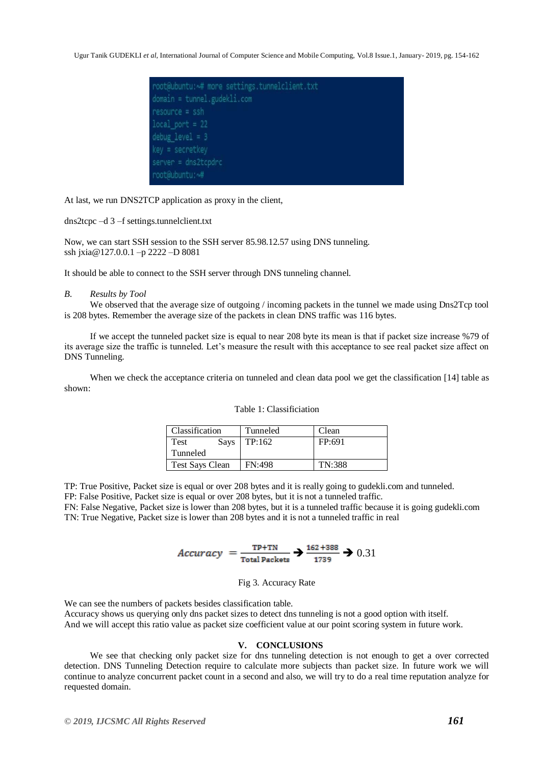

At last, we run DNS2TCP application as proxy in the client,

dns2tcpc –d 3 –f settings.tunnelclient.txt

Now, we can start SSH session to the SSH server 85.98.12.57 using DNS tunneling. ssh jxia@127.0.0.1 –p 2222 –D 8081

It should be able to connect to the SSH server through DNS tunneling channel.

#### *B. Results by Tool*

We observed that the average size of outgoing / incoming packets in the tunnel we made using Dns2Tcp tool is 208 bytes. Remember the average size of the packets in clean DNS traffic was 116 bytes.

If we accept the tunneled packet size is equal to near 208 byte its mean is that if packet size increase %79 of its average size the traffic is tunneled. Let's measure the result with this acceptance to see real packet size affect on DNS Tunneling.

When we check the acceptance criteria on tunneled and clean data pool we get the classification [14] table as shown:

| Classification         | Tunneled      | Clean  |
|------------------------|---------------|--------|
| Test<br><b>Says</b>    | TP:162        | FP:691 |
| Tunneled               |               |        |
| <b>Test Says Clean</b> | <b>FN:498</b> | TN:388 |

#### Table 1: Classificiation

TP: True Positive, Packet size is equal or over 208 bytes and it is really going to gudekli.com and tunneled.

FP: False Positive, Packet size is equal or over 208 bytes, but it is not a tunneled traffic.

FN: False Negative, Packet size is lower than 208 bytes, but it is a tunneled traffic because it is going gudekli.com TN: True Negative, Packet size is lower than 208 bytes and it is not a tunneled traffic in real

$$
Accuracy = \frac{TP + TN}{Total \text{Packets}} \rightarrow \frac{162 + 388}{1739} \rightarrow 0.31
$$

Fig 3. Accuracy Rate

We can see the numbers of packets besides classification table. Accuracy shows us querying only dns packet sizes to detect dns tunneling is not a good option with itself. And we will accept this ratio value as packet size coefficient value at our point scoring system in future work.

#### **V. CONCLUSIONS**

We see that checking only packet size for dns tunneling detection is not enough to get a over corrected detection. DNS Tunneling Detection require to calculate more subjects than packet size. In future work we will continue to analyze concurrent packet count in a second and also, we will try to do a real time reputation analyze for requested domain.